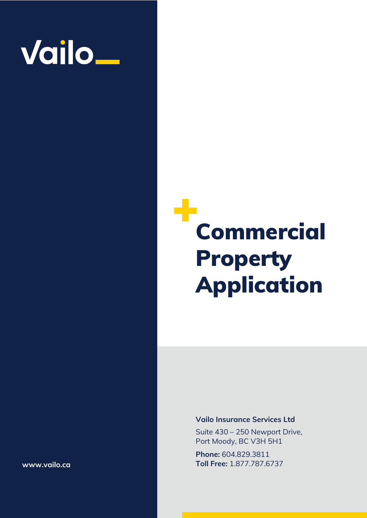

## ۰ Commercial Property Application

#### **Vailo Insurance Services Ltd**

Suite 430 – 250 Newport Drive, Port Moody, BC V3H 5H1

**Phone:** 604.829.3811 **Toll Free:** 1.877.787.6737

**www.vailo.ca**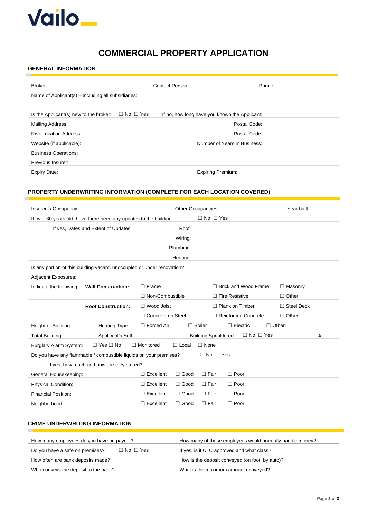

### **COMMERCIAL PROPERTY APPLICATION**

#### **GENERAL INFORMATION**

×

| Broker:                                            | Contact Person:                                                       | Phone:                       |
|----------------------------------------------------|-----------------------------------------------------------------------|------------------------------|
| Name of Applicant(s) – including all subsidiaries: |                                                                       |                              |
|                                                    |                                                                       |                              |
| Is the Applicant(s) new to the broker:             | $\Box$ No $\Box$ Yes<br>If no, how long have you known the Applicant: |                              |
| Mailing Address:                                   |                                                                       | Postal Code:                 |
| <b>Risk Location Address:</b>                      |                                                                       | Postal Code:                 |
| Website (if applicable):                           |                                                                       | Number of Years in Business: |
| <b>Business Operations:</b>                        |                                                                       |                              |
| Previous Insurer:                                  |                                                                       |                              |
| Expiry Date:                                       | <b>Expiring Premium:</b>                                              |                              |

### **PROPERTY UNDERWRITING INFORMATION (COMPLETE FOR EACH LOCATION COVERED)**

| Insured's Occupancy:                                                    |                                           |                          | Other Occupancies: |                      |                              |                      | Year built:       |      |
|-------------------------------------------------------------------------|-------------------------------------------|--------------------------|--------------------|----------------------|------------------------------|----------------------|-------------------|------|
| If over 30 years old, have there been any updates to the building:      |                                           |                          |                    | $\Box$ No $\Box$ Yes |                              |                      |                   |      |
|                                                                         | If yes, Dates and Extent of Updates:      |                          | Roof:              |                      |                              |                      |                   |      |
|                                                                         |                                           |                          | Wiring:            |                      |                              |                      |                   |      |
|                                                                         |                                           |                          | Plumbing:          |                      |                              |                      |                   |      |
|                                                                         |                                           |                          | Heating:           |                      |                              |                      |                   |      |
| Is any portion of this building vacant, unoccupied or under renovation? |                                           |                          |                    |                      |                              |                      |                   |      |
| Adjacent Exposures:                                                     |                                           |                          |                    |                      |                              |                      |                   |      |
| Indicate the following:                                                 | <b>Wall Construction:</b>                 | $\Box$ Frame             |                    |                      | $\Box$ Brick and Wood Frame  |                      | $\Box$ Masonry    |      |
|                                                                         |                                           | $\Box$ Non-Combustible   |                    |                      | $\Box$ Fire Resistive        |                      | $\Box$ Other:     |      |
|                                                                         | <b>Roof Construction:</b>                 | $\Box$ Wood Joist        |                    |                      | $\Box$ Plank on Timber       |                      | $\Box$ Steel Deck |      |
|                                                                         |                                           | $\Box$ Concrete on Steel |                    |                      | $\Box$ Reinforced Concrete   |                      | $\Box$ Other:     |      |
| Height of Building:                                                     | Heating Type:                             | $\Box$ Forced Air        |                    | $\Box$ Boiler        | $\Box$ Electric              |                      | $\Box$ Other:     |      |
| Total Building:                                                         | Applicant's Sqft:                         |                          |                    |                      | <b>Building Sprinklered:</b> | $\Box$ No $\Box$ Yes |                   | $\%$ |
| Burglary Alarm System:                                                  | $\Box$ Yes $\Box$ No                      | $\Box$ Monitored         | $\Box$ Local       | $\Box$ None          |                              |                      |                   |      |
| Do you have any flammable / combustible liquids on your premises?       |                                           |                          |                    |                      | $\Box$ No $\Box$ Yes         |                      |                   |      |
|                                                                         | If yes, how much and how are they stored? |                          |                    |                      |                              |                      |                   |      |
| General Housekeeping:                                                   |                                           | $\Box$ Excellent         | $\Box$ Good        | $\Box$ Fair          | $\Box$ Poor                  |                      |                   |      |
| Physical Condition:                                                     |                                           | $\Box$ Excellent         | $\Box$ Good        | $\Box$ Fair          | $\Box$ Poor                  |                      |                   |      |
| <b>Financial Position:</b>                                              |                                           | $\Box$ Excellent         | $\Box$ Good        | $\Box$ Fair          | $\Box$ Poor                  |                      |                   |      |
| Neighborhood:                                                           |                                           | $\Box$ Excellent         | $\Box$ Good        | $\Box$ Fair          | $\Box$ Poor                  |                      |                   |      |

#### **CRIME UNDERWRITING INFORMATION**

 $\overline{\phantom{a}}$ 

| How many employees do you have on payroll?              | How many of those employees would normally handle money? |
|---------------------------------------------------------|----------------------------------------------------------|
| $\Box$ No $\Box$ Yes<br>Do you have a safe on premises? | If yes, is it ULC approved and what class?               |
| How often are bank deposits made?                       | How is the deposit conveyed (on foot, by auto)?          |
| Who conveys the deposit to the bank?                    | What is the maximum amount conveyed?                     |